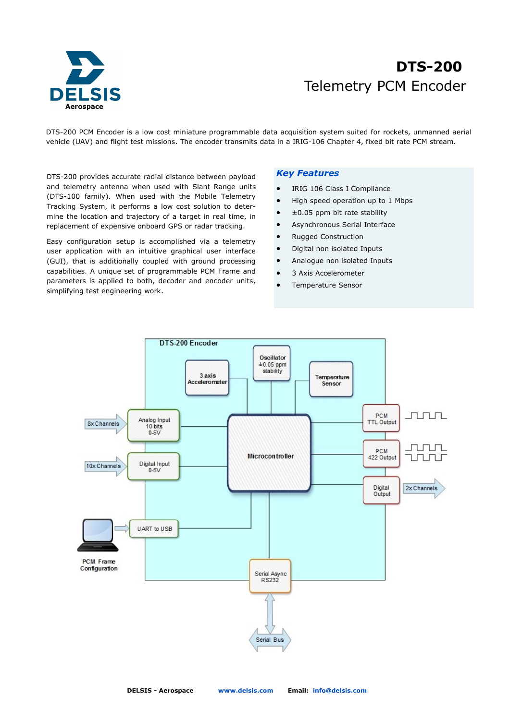

# Telemetry PCM Encoder **DTS-200**

DTS-200 PCM Encoder is a low cost miniature programmable data acquisition system suited for rockets, unmanned aerial vehicle (UAV) and flight test missions. The encoder transmits data in a IRIG-106 Chapter 4, fixed bit rate PCM stream.

DTS-200 provides accurate radial distance between payload and telemetry antenna when used with Slant Range units (DTS-100 family). When used with the Mobile Telemetry Tracking System, it performs a low cost solution to determine the location and trajectory of a target in real time, in replacement of expensive onboard GPS or radar tracking.

Easy configuration setup is accomplished via a telemetry user application with an intuitive graphical user interface (GUI), that is additionally coupled with ground processing capabilities. A unique set of programmable PCM Frame and parameters is applied to both, decoder and encoder units, simplifying test engineering work.

## *Key Features*

- IRIG 106 Class I Compliance
- High speed operation up to 1 Mbps
- ±0.05 ppm bit rate stability
- Asynchronous Serial Interface
- Rugged Construction
- Digital non isolated Inputs
- Analogue non isolated Inputs
- 3 Axis Accelerometer
- Temperature Sensor